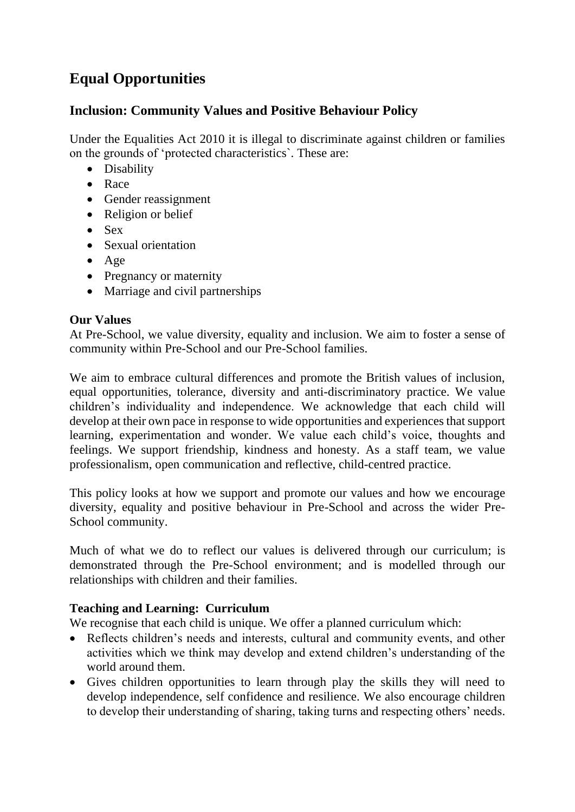# **Equal Opportunities**

# **Inclusion: Community Values and Positive Behaviour Policy**

Under the Equalities Act 2010 it is illegal to discriminate against children or families on the grounds of 'protected characteristics`. These are:

- Disability
- Race
- Gender reassignment
- Religion or belief
- Sex
- Sexual orientation
- Age
- Pregnancy or maternity
- Marriage and civil partnerships

## **Our Values**

At Pre-School, we value diversity, equality and inclusion. We aim to foster a sense of community within Pre-School and our Pre-School families.

We aim to embrace cultural differences and promote the British values of inclusion, equal opportunities, tolerance, diversity and anti-discriminatory practice. We value children's individuality and independence. We acknowledge that each child will develop at their own pace in response to wide opportunities and experiences that support learning, experimentation and wonder. We value each child's voice, thoughts and feelings. We support friendship, kindness and honesty. As a staff team, we value professionalism, open communication and reflective, child-centred practice.

This policy looks at how we support and promote our values and how we encourage diversity, equality and positive behaviour in Pre-School and across the wider Pre-School community.

Much of what we do to reflect our values is delivered through our curriculum; is demonstrated through the Pre-School environment; and is modelled through our relationships with children and their families.

## **Teaching and Learning: Curriculum**

We recognise that each child is unique. We offer a planned curriculum which:

- Reflects children's needs and interests, cultural and community events, and other activities which we think may develop and extend children's understanding of the world around them.
- Gives children opportunities to learn through play the skills they will need to develop independence, self confidence and resilience. We also encourage children to develop their understanding of sharing, taking turns and respecting others' needs.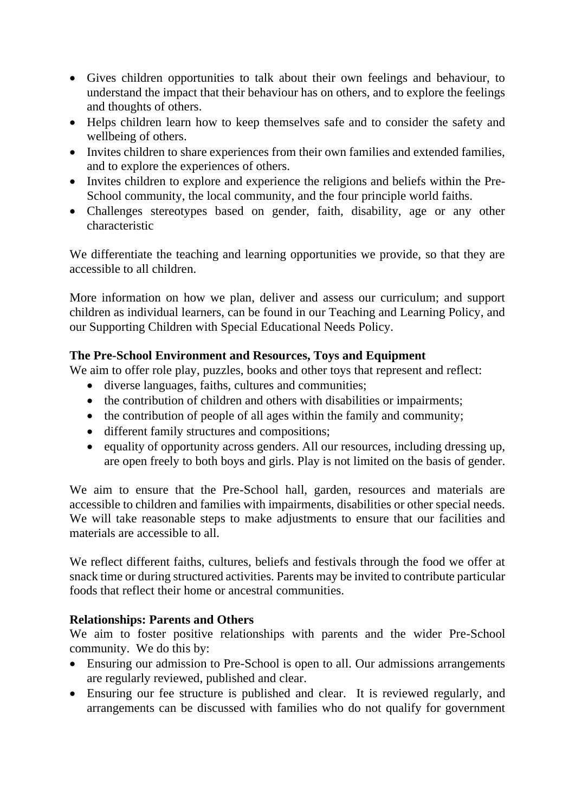- Gives children opportunities to talk about their own feelings and behaviour, to understand the impact that their behaviour has on others, and to explore the feelings and thoughts of others.
- Helps children learn how to keep themselves safe and to consider the safety and wellbeing of others.
- Invites children to share experiences from their own families and extended families, and to explore the experiences of others.
- Invites children to explore and experience the religions and beliefs within the Pre-School community, the local community, and the four principle world faiths.
- Challenges stereotypes based on gender, faith, disability, age or any other characteristic

We differentiate the teaching and learning opportunities we provide, so that they are accessible to all children.

More information on how we plan, deliver and assess our curriculum; and support children as individual learners, can be found in our Teaching and Learning Policy, and our Supporting Children with Special Educational Needs Policy.

# **The Pre-School Environment and Resources, Toys and Equipment**

We aim to offer role play, puzzles, books and other toys that represent and reflect:

- diverse languages, faiths, cultures and communities;
- the contribution of children and others with disabilities or impairments;
- the contribution of people of all ages within the family and community;
- different family structures and compositions;
- equality of opportunity across genders. All our resources, including dressing up, are open freely to both boys and girls. Play is not limited on the basis of gender.

We aim to ensure that the Pre-School hall, garden, resources and materials are accessible to children and families with impairments, disabilities or other special needs. We will take reasonable steps to make adjustments to ensure that our facilities and materials are accessible to all.

We reflect different faiths, cultures, beliefs and festivals through the food we offer at snack time or during structured activities. Parents may be invited to contribute particular foods that reflect their home or ancestral communities.

## **Relationships: Parents and Others**

We aim to foster positive relationships with parents and the wider Pre-School community. We do this by:

- Ensuring our admission to Pre-School is open to all. Our admissions arrangements are regularly reviewed, published and clear.
- Ensuring our fee structure is published and clear. It is reviewed regularly, and arrangements can be discussed with families who do not qualify for government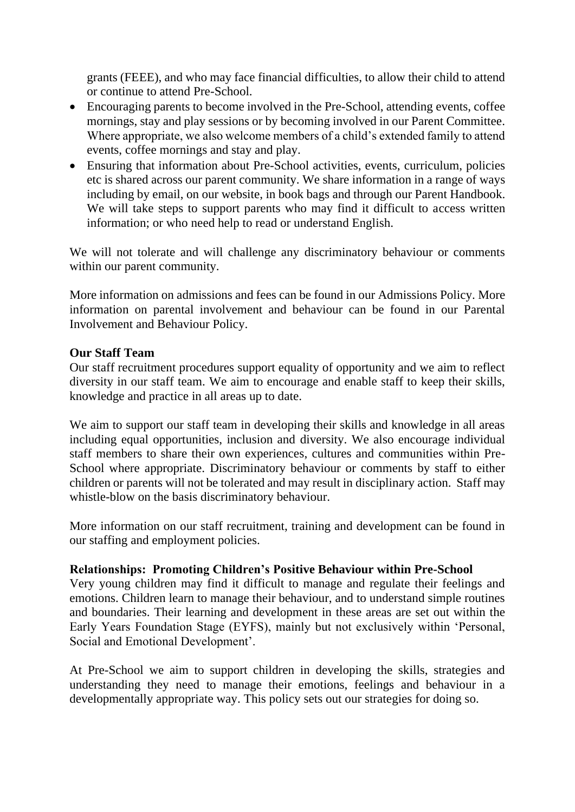grants (FEEE), and who may face financial difficulties, to allow their child to attend or continue to attend Pre-School.

- Encouraging parents to become involved in the Pre-School, attending events, coffee mornings, stay and play sessions or by becoming involved in our Parent Committee. Where appropriate, we also welcome members of a child's extended family to attend events, coffee mornings and stay and play.
- Ensuring that information about Pre-School activities, events, curriculum, policies etc is shared across our parent community. We share information in a range of ways including by email, on our website, in book bags and through our Parent Handbook. We will take steps to support parents who may find it difficult to access written information; or who need help to read or understand English.

We will not tolerate and will challenge any discriminatory behaviour or comments within our parent community.

More information on admissions and fees can be found in our Admissions Policy. More information on parental involvement and behaviour can be found in our Parental Involvement and Behaviour Policy.

#### **Our Staff Team**

Our staff recruitment procedures support equality of opportunity and we aim to reflect diversity in our staff team. We aim to encourage and enable staff to keep their skills, knowledge and practice in all areas up to date.

We aim to support our staff team in developing their skills and knowledge in all areas including equal opportunities, inclusion and diversity. We also encourage individual staff members to share their own experiences, cultures and communities within Pre-School where appropriate. Discriminatory behaviour or comments by staff to either children or parents will not be tolerated and may result in disciplinary action. Staff may whistle-blow on the basis discriminatory behaviour.

More information on our staff recruitment, training and development can be found in our staffing and employment policies.

## **Relationships: Promoting Children's Positive Behaviour within Pre-School**

Very young children may find it difficult to manage and regulate their feelings and emotions. Children learn to manage their behaviour, and to understand simple routines and boundaries. Their learning and development in these areas are set out within the Early Years Foundation Stage (EYFS), mainly but not exclusively within 'Personal, Social and Emotional Development'.

At Pre-School we aim to support children in developing the skills, strategies and understanding they need to manage their emotions, feelings and behaviour in a developmentally appropriate way. This policy sets out our strategies for doing so.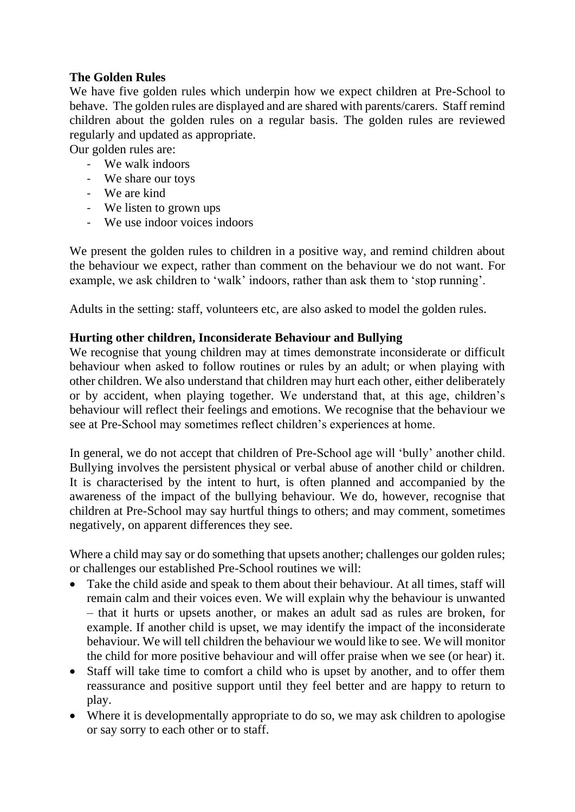# **The Golden Rules**

We have five golden rules which underpin how we expect children at Pre-School to behave. The golden rules are displayed and are shared with parents/carers. Staff remind children about the golden rules on a regular basis. The golden rules are reviewed regularly and updated as appropriate.

Our golden rules are:

- We walk indoors
- We share our toys
- We are kind
- We listen to grown ups
- We use indoor voices indoors

We present the golden rules to children in a positive way, and remind children about the behaviour we expect, rather than comment on the behaviour we do not want. For example, we ask children to 'walk' indoors, rather than ask them to 'stop running'.

Adults in the setting: staff, volunteers etc, are also asked to model the golden rules.

## **Hurting other children, Inconsiderate Behaviour and Bullying**

We recognise that young children may at times demonstrate inconsiderate or difficult behaviour when asked to follow routines or rules by an adult; or when playing with other children. We also understand that children may hurt each other, either deliberately or by accident, when playing together. We understand that, at this age, children's behaviour will reflect their feelings and emotions. We recognise that the behaviour we see at Pre-School may sometimes reflect children's experiences at home.

In general, we do not accept that children of Pre-School age will 'bully' another child. Bullying involves the persistent physical or verbal abuse of another child or children. It is characterised by the intent to hurt, is often planned and accompanied by the awareness of the impact of the bullying behaviour. We do, however, recognise that children at Pre-School may say hurtful things to others; and may comment, sometimes negatively, on apparent differences they see.

Where a child may say or do something that upsets another; challenges our golden rules; or challenges our established Pre-School routines we will:

- Take the child aside and speak to them about their behaviour. At all times, staff will remain calm and their voices even. We will explain why the behaviour is unwanted – that it hurts or upsets another, or makes an adult sad as rules are broken, for example. If another child is upset, we may identify the impact of the inconsiderate behaviour. We will tell children the behaviour we would like to see. We will monitor the child for more positive behaviour and will offer praise when we see (or hear) it.
- Staff will take time to comfort a child who is upset by another, and to offer them reassurance and positive support until they feel better and are happy to return to play.
- Where it is developmentally appropriate to do so, we may ask children to apologise or say sorry to each other or to staff.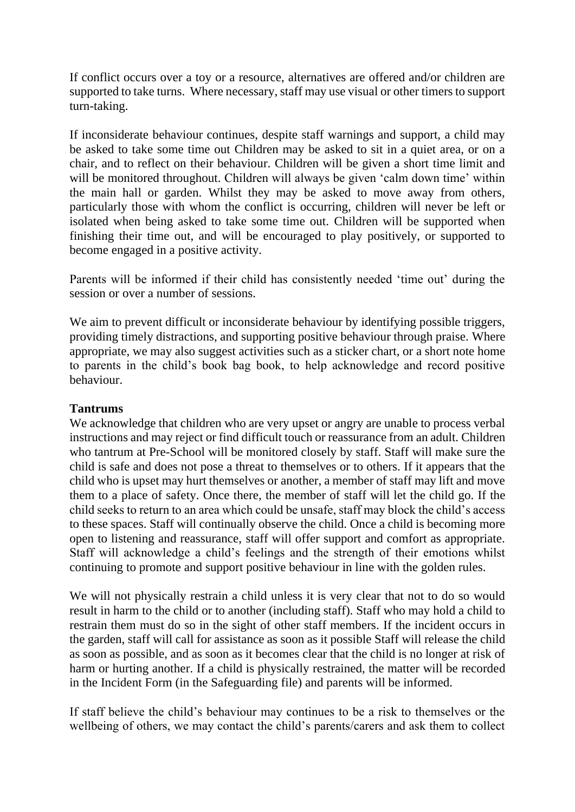If conflict occurs over a toy or a resource, alternatives are offered and/or children are supported to take turns. Where necessary, staff may use visual or other timers to support turn-taking.

If inconsiderate behaviour continues, despite staff warnings and support, a child may be asked to take some time out Children may be asked to sit in a quiet area, or on a chair, and to reflect on their behaviour. Children will be given a short time limit and will be monitored throughout. Children will always be given 'calm down time' within the main hall or garden. Whilst they may be asked to move away from others, particularly those with whom the conflict is occurring, children will never be left or isolated when being asked to take some time out. Children will be supported when finishing their time out, and will be encouraged to play positively, or supported to become engaged in a positive activity.

Parents will be informed if their child has consistently needed 'time out' during the session or over a number of sessions.

We aim to prevent difficult or inconsiderate behaviour by identifying possible triggers, providing timely distractions, and supporting positive behaviour through praise. Where appropriate, we may also suggest activities such as a sticker chart, or a short note home to parents in the child's book bag book, to help acknowledge and record positive behaviour.

#### **Tantrums**

We acknowledge that children who are very upset or angry are unable to process verbal instructions and may reject or find difficult touch or reassurance from an adult. Children who tantrum at Pre-School will be monitored closely by staff. Staff will make sure the child is safe and does not pose a threat to themselves or to others. If it appears that the child who is upset may hurt themselves or another, a member of staff may lift and move them to a place of safety. Once there, the member of staff will let the child go. If the child seeks to return to an area which could be unsafe, staff may block the child's access to these spaces. Staff will continually observe the child. Once a child is becoming more open to listening and reassurance, staff will offer support and comfort as appropriate. Staff will acknowledge a child's feelings and the strength of their emotions whilst continuing to promote and support positive behaviour in line with the golden rules.

We will not physically restrain a child unless it is very clear that not to do so would result in harm to the child or to another (including staff). Staff who may hold a child to restrain them must do so in the sight of other staff members. If the incident occurs in the garden, staff will call for assistance as soon as it possible Staff will release the child as soon as possible, and as soon as it becomes clear that the child is no longer at risk of harm or hurting another. If a child is physically restrained, the matter will be recorded in the Incident Form (in the Safeguarding file) and parents will be informed.

If staff believe the child's behaviour may continues to be a risk to themselves or the wellbeing of others, we may contact the child's parents/carers and ask them to collect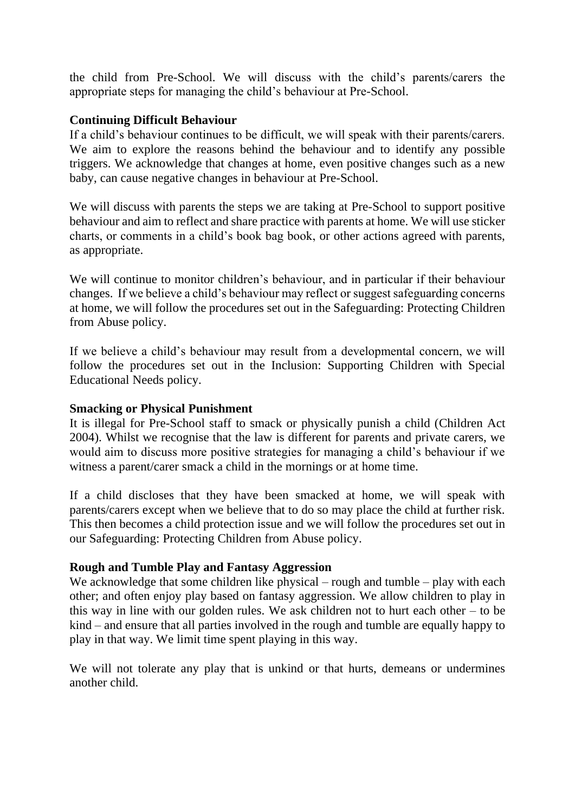the child from Pre-School. We will discuss with the child's parents/carers the appropriate steps for managing the child's behaviour at Pre-School.

## **Continuing Difficult Behaviour**

If a child's behaviour continues to be difficult, we will speak with their parents/carers. We aim to explore the reasons behind the behaviour and to identify any possible triggers. We acknowledge that changes at home, even positive changes such as a new baby, can cause negative changes in behaviour at Pre-School.

We will discuss with parents the steps we are taking at Pre-School to support positive behaviour and aim to reflect and share practice with parents at home. We will use sticker charts, or comments in a child's book bag book, or other actions agreed with parents, as appropriate.

We will continue to monitor children's behaviour, and in particular if their behaviour changes. If we believe a child's behaviour may reflect or suggest safeguarding concerns at home, we will follow the procedures set out in the Safeguarding: Protecting Children from Abuse policy.

If we believe a child's behaviour may result from a developmental concern, we will follow the procedures set out in the Inclusion: Supporting Children with Special Educational Needs policy.

#### **Smacking or Physical Punishment**

It is illegal for Pre-School staff to smack or physically punish a child (Children Act 2004). Whilst we recognise that the law is different for parents and private carers, we would aim to discuss more positive strategies for managing a child's behaviour if we witness a parent/carer smack a child in the mornings or at home time.

If a child discloses that they have been smacked at home, we will speak with parents/carers except when we believe that to do so may place the child at further risk. This then becomes a child protection issue and we will follow the procedures set out in our Safeguarding: Protecting Children from Abuse policy.

#### **Rough and Tumble Play and Fantasy Aggression**

We acknowledge that some children like physical – rough and tumble – play with each other; and often enjoy play based on fantasy aggression. We allow children to play in this way in line with our golden rules. We ask children not to hurt each other – to be kind – and ensure that all parties involved in the rough and tumble are equally happy to play in that way. We limit time spent playing in this way.

We will not tolerate any play that is unkind or that hurts, demeans or undermines another child.